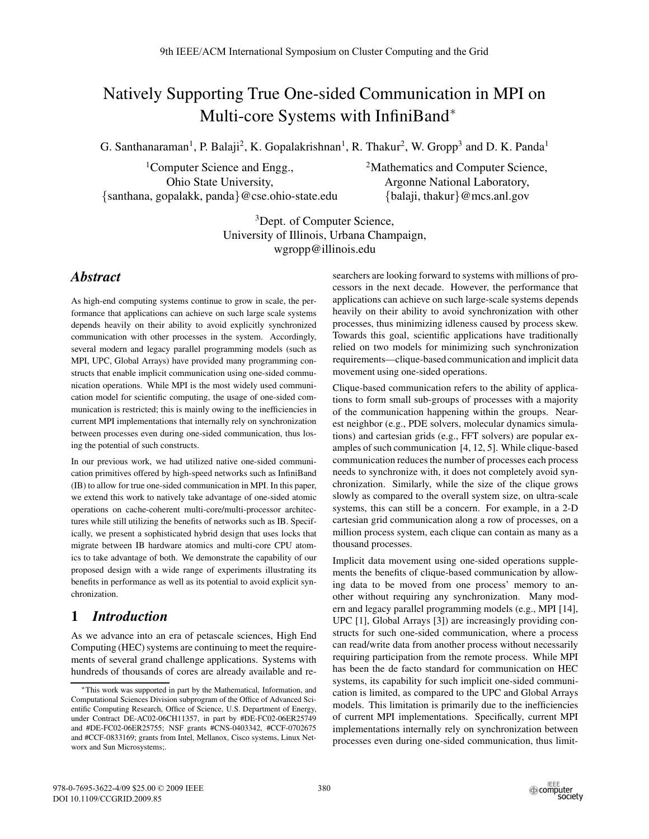# Natively Supporting True One-sided Communication in MPI on Multi-core Systems with InfiniBand<sup>∗</sup>

G. Santhanaraman<sup>1</sup>, P. Balaji<sup>2</sup>, K. Gopalakrishnan<sup>1</sup>, R. Thakur<sup>2</sup>, W. Gropp<sup>3</sup> and D. K. Panda<sup>1</sup>

<sup>1</sup>Computer Science and Engg., Ohio State University, {santhana, gopalakk, panda}@cse.ohio-state.edu <sup>2</sup>Mathematics and Computer Science, Argonne National Laboratory, {balaji, thakur}@mcs.anl.gov

<sup>3</sup>Dept. of Computer Science, University of Illinois, Urbana Champaign, wgropp@illinois.edu

## *Abstract*

As high-end computing systems continue to grow in scale, the performance that applications can achieve on such large scale systems depends heavily on their ability to avoid explicitly synchronized communication with other processes in the system. Accordingly, several modern and legacy parallel programming models (such as MPI, UPC, Global Arrays) have provided many programming constructs that enable implicit communication using one-sided communication operations. While MPI is the most widely used communication model for scientific computing, the usage of one-sided communication is restricted; this is mainly owing to the inefficiencies in current MPI implementations that internally rely on synchronization between processes even during one-sided communication, thus losing the potential of such constructs.

In our previous work, we had utilized native one-sided communication primitives offered by high-speed networks such as InfiniBand (IB) to allow for true one-sided communication in MPI. In this paper, we extend this work to natively take advantage of one-sided atomic operations on cache-coherent multi-core/multi-processor architectures while still utilizing the benefits of networks such as IB. Specifically, we present a sophisticated hybrid design that uses locks that migrate between IB hardware atomics and multi-core CPU atomics to take advantage of both. We demonstrate the capability of our proposed design with a wide range of experiments illustrating its benefits in performance as well as its potential to avoid explicit synchronization.

## **1** *Introduction*

As we advance into an era of petascale sciences, High End Computing (HEC) systems are continuing to meet the requirements of several grand challenge applications. Systems with hundreds of thousands of cores are already available and researchers are looking forward to systems with millions of processors in the next decade. However, the performance that applications can achieve on such large-scale systems depends heavily on their ability to avoid synchronization with other processes, thus minimizing idleness caused by process skew. Towards this goal, scientific applications have traditionally relied on two models for minimizing such synchronization requirements—clique-based communication and implicit data movement using one-sided operations.

Clique-based communication refers to the ability of applications to form small sub-groups of processes with a majority of the communication happening within the groups. Nearest neighbor (e.g., PDE solvers, molecular dynamics simulations) and cartesian grids (e.g., FFT solvers) are popular examples of such communication  $[4, 12, 5]$ . While clique-based communication reduces the number of processes each process needs to synchronize with, it does not completely avoid synchronization. Similarly, while the size of the clique grows slowly as compared to the overall system size, on ultra-scale systems, this can still be a concern. For example, in a 2-D cartesian grid communication along a row of processes, on a million process system, each clique can contain as many as a thousand processes.

Implicit data movement using one-sided operations supplements the benefits of clique-based communication by allowing data to be moved from one process' memory to another without requiring any synchronization. Many modern and legacy parallel programming models (e.g., MPI [14], UPC [1], Global Arrays [3]) are increasingly providing constructs for such one-sided communication, where a process can read/write data from another process without necessarily requiring participation from the remote process. While MPI has been the de facto standard for communication on HEC systems, its capability for such implicit one-sided communication is limited, as compared to the UPC and Global Arrays models. This limitation is primarily due to the inefficiencies of current MPI implementations. Specifically, current MPI implementations internally rely on synchronization between processes even during one-sided communication, thus limit-

<sup>∗</sup>This work was supported in part by the Mathematical, Information, and Computational Sciences Division subprogram of the Office of Advanced Scientific Computing Research, Office of Science, U.S. Department of Energy, under Contract DE-AC02-06CH11357, in part by #DE-FC02-06ER25749 and #DE-FC02-06ER25755; NSF grants #CNS-0403342, #CCF-0702675 and #CCF-0833169; grants from Intel, Mellanox, Cisco systems, Linux Networx and Sun Microsystems;.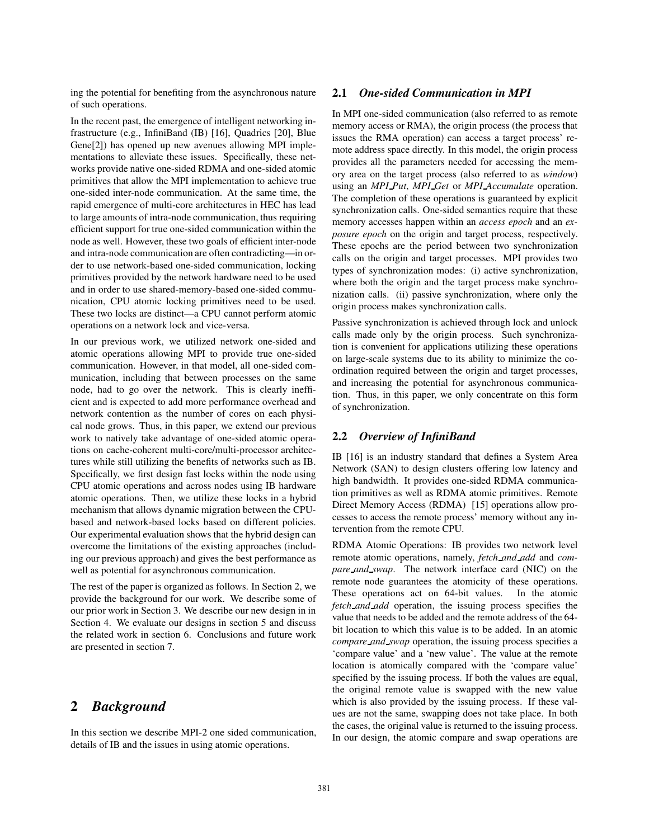ing the potential for benefiting from the asynchronous nature of such operations.

In the recent past, the emergence of intelligent networking infrastructure (e.g., InfiniBand (IB) [16], Quadrics [20], Blue Gene[2]) has opened up new avenues allowing MPI implementations to alleviate these issues. Specifically, these networks provide native one-sided RDMA and one-sided atomic primitives that allow the MPI implementation to achieve true one-sided inter-node communication. At the same time, the rapid emergence of multi-core architectures in HEC has lead to large amounts of intra-node communication, thus requiring efficient support for true one-sided communication within the node as well. However, these two goals of efficient inter-node and intra-node communication are often contradicting—in order to use network-based one-sided communication, locking primitives provided by the network hardware need to be used and in order to use shared-memory-based one-sided communication, CPU atomic locking primitives need to be used. These two locks are distinct—a CPU cannot perform atomic operations on a network lock and vice-versa.

In our previous work, we utilized network one-sided and atomic operations allowing MPI to provide true one-sided communication. However, in that model, all one-sided communication, including that between processes on the same node, had to go over the network. This is clearly inefficient and is expected to add more performance overhead and network contention as the number of cores on each physical node grows. Thus, in this paper, we extend our previous work to natively take advantage of one-sided atomic operations on cache-coherent multi-core/multi-processor architectures while still utilizing the benefits of networks such as IB. Specifically, we first design fast locks within the node using CPU atomic operations and across nodes using IB hardware atomic operations. Then, we utilize these locks in a hybrid mechanism that allows dynamic migration between the CPUbased and network-based locks based on different policies. Our experimental evaluation shows that the hybrid design can overcome the limitations of the existing approaches (including our previous approach) and gives the best performance as well as potential for asynchronous communication.

The rest of the paper is organized as follows. In Section 2, we provide the background for our work. We describe some of our prior work in Section 3. We describe our new design in in Section 4. We evaluate our designs in section 5 and discuss the related work in section 6. Conclusions and future work are presented in section 7.

## **2** *Background*

In this section we describe MPI-2 one sided communication, details of IB and the issues in using atomic operations.

#### **2.1** *One-sided Communication in MPI*

In MPI one-sided communication (also referred to as remote memory access or RMA), the origin process (the process that issues the RMA operation) can access a target process' remote address space directly. In this model, the origin process provides all the parameters needed for accessing the memory area on the target process (also referred to as *window*) using an *MPI Put*, *MPI Get* or *MPI Accumulate* operation. The completion of these operations is guaranteed by explicit synchronization calls. One-sided semantics require that these memory accesses happen within an *access epoch* and an *exposure epoch* on the origin and target process, respectively. These epochs are the period between two synchronization calls on the origin and target processes. MPI provides two types of synchronization modes: (i) active synchronization, where both the origin and the target process make synchronization calls. (ii) passive synchronization, where only the origin process makes synchronization calls.

Passive synchronization is achieved through lock and unlock calls made only by the origin process. Such synchronization is convenient for applications utilizing these operations on large-scale systems due to its ability to minimize the coordination required between the origin and target processes, and increasing the potential for asynchronous communication. Thus, in this paper, we only concentrate on this form of synchronization.

#### **2.2** *Overview of InfiniBand*

IB [16] is an industry standard that defines a System Area Network (SAN) to design clusters offering low latency and high bandwidth. It provides one-sided RDMA communication primitives as well as RDMA atomic primitives. Remote Direct Memory Access (RDMA) [15] operations allow processes to access the remote process' memory without any intervention from the remote CPU.

RDMA Atomic Operations: IB provides two network level remote atomic operations, namely, *fetch and add* and *compare and swap*. The network interface card (NIC) on the remote node guarantees the atomicity of these operations. These operations act on 64-bit values. In the atomic *fetch and add* operation, the issuing process specifies the value that needs to be added and the remote address of the 64 bit location to which this value is to be added. In an atomic *compare and swap* operation, the issuing process specifies a 'compare value' and a 'new value'. The value at the remote location is atomically compared with the 'compare value' specified by the issuing process. If both the values are equal, the original remote value is swapped with the new value which is also provided by the issuing process. If these values are not the same, swapping does not take place. In both the cases, the original value is returned to the issuing process. In our design, the atomic compare and swap operations are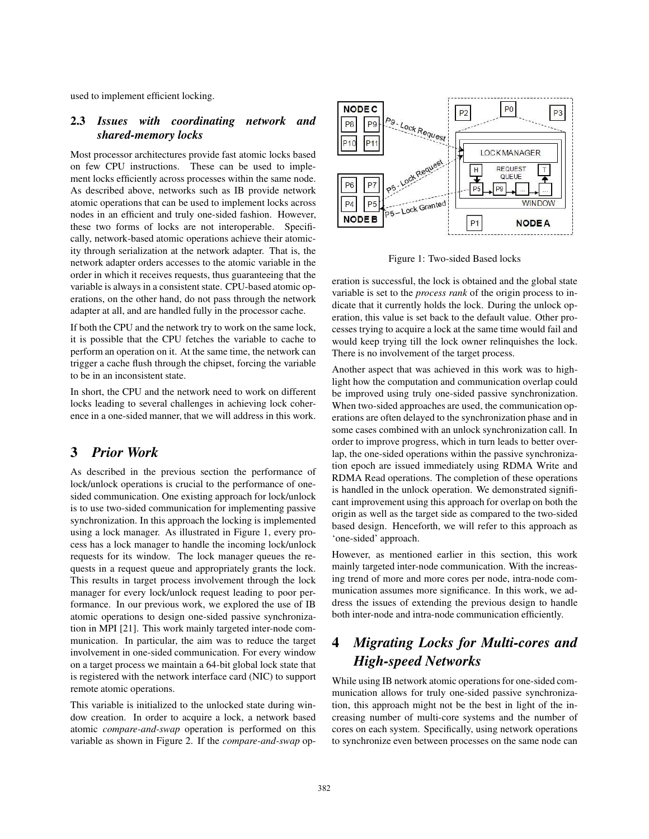used to implement efficient locking.

#### **2.3** *Issues with coordinating network and shared-memory locks*

Most processor architectures provide fast atomic locks based on few CPU instructions. These can be used to implement locks efficiently across processes within the same node. As described above, networks such as IB provide network atomic operations that can be used to implement locks across nodes in an efficient and truly one-sided fashion. However, these two forms of locks are not interoperable. Specifically, network-based atomic operations achieve their atomicity through serialization at the network adapter. That is, the network adapter orders accesses to the atomic variable in the order in which it receives requests, thus guaranteeing that the variable is always in a consistent state. CPU-based atomic operations, on the other hand, do not pass through the network adapter at all, and are handled fully in the processor cache.

If both the CPU and the network try to work on the same lock, it is possible that the CPU fetches the variable to cache to perform an operation on it. At the same time, the network can trigger a cache flush through the chipset, forcing the variable to be in an inconsistent state.

In short, the CPU and the network need to work on different locks leading to several challenges in achieving lock coherence in a one-sided manner, that we will address in this work.

## **3** *Prior Work*

As described in the previous section the performance of lock/unlock operations is crucial to the performance of onesided communication. One existing approach for lock/unlock is to use two-sided communication for implementing passive synchronization. In this approach the locking is implemented using a lock manager. As illustrated in Figure 1, every process has a lock manager to handle the incoming lock/unlock requests for its window. The lock manager queues the requests in a request queue and appropriately grants the lock. This results in target process involvement through the lock manager for every lock/unlock request leading to poor performance. In our previous work, we explored the use of IB atomic operations to design one-sided passive synchronization in MPI [21]. This work mainly targeted inter-node communication. In particular, the aim was to reduce the target involvement in one-sided communication. For every window on a target process we maintain a 64-bit global lock state that is registered with the network interface card (NIC) to support remote atomic operations.

This variable is initialized to the unlocked state during window creation. In order to acquire a lock, a network based atomic *compare-and-swap* operation is performed on this variable as shown in Figure 2. If the *compare-and-swap* op-



Figure 1: Two-sided Based locks

eration is successful, the lock is obtained and the global state variable is set to the *process rank* of the origin process to indicate that it currently holds the lock. During the unlock operation, this value is set back to the default value. Other processes trying to acquire a lock at the same time would fail and would keep trying till the lock owner relinquishes the lock. There is no involvement of the target process.

Another aspect that was achieved in this work was to highlight how the computation and communication overlap could be improved using truly one-sided passive synchronization. When two-sided approaches are used, the communication operations are often delayed to the synchronization phase and in some cases combined with an unlock synchronization call. In order to improve progress, which in turn leads to better overlap, the one-sided operations within the passive synchronization epoch are issued immediately using RDMA Write and RDMA Read operations. The completion of these operations is handled in the unlock operation. We demonstrated significant improvement using this approach for overlap on both the origin as well as the target side as compared to the two-sided based design. Henceforth, we will refer to this approach as 'one-sided' approach.

However, as mentioned earlier in this section, this work mainly targeted inter-node communication. With the increasing trend of more and more cores per node, intra-node communication assumes more significance. In this work, we address the issues of extending the previous design to handle both inter-node and intra-node communication efficiently.

## **4** *Migrating Locks for Multi-cores and High-speed Networks*

While using IB network atomic operations for one-sided communication allows for truly one-sided passive synchronization, this approach might not be the best in light of the increasing number of multi-core systems and the number of cores on each system. Specifically, using network operations to synchronize even between processes on the same node can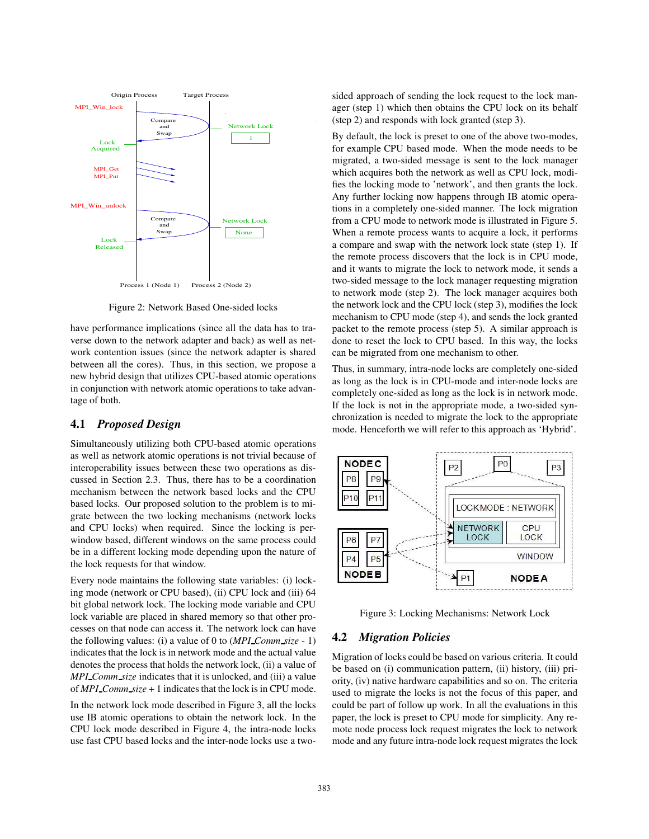

Figure 2: Network Based One-sided locks

have performance implications (since all the data has to traverse down to the network adapter and back) as well as network contention issues (since the network adapter is shared between all the cores). Thus, in this section, we propose a new hybrid design that utilizes CPU-based atomic operations in conjunction with network atomic operations to take advantage of both.

#### **4.1** *Proposed Design*

Simultaneously utilizing both CPU-based atomic operations as well as network atomic operations is not trivial because of interoperability issues between these two operations as discussed in Section 2.3. Thus, there has to be a coordination mechanism between the network based locks and the CPU based locks. Our proposed solution to the problem is to migrate between the two locking mechanisms (network locks and CPU locks) when required. Since the locking is perwindow based, different windows on the same process could be in a different locking mode depending upon the nature of the lock requests for that window.

Every node maintains the following state variables: (i) locking mode (network or CPU based), (ii) CPU lock and (iii) 64 bit global network lock. The locking mode variable and CPU lock variable are placed in shared memory so that other processes on that node can access it. The network lock can have the following values: (i) a value of 0 to (*MPI Comm size* - 1) indicates that the lock is in network mode and the actual value denotes the process that holds the network lock, (ii) a value of *MPI Comm size* indicates that it is unlocked, and (iii) a value of *MPI Comm size* + 1 indicatesthat the lock is in CPU mode.

In the network lock mode described in Figure 3, all the locks use IB atomic operations to obtain the network lock. In the CPU lock mode described in Figure 4, the intra-node locks use fast CPU based locks and the inter-node locks use a twosided approach of sending the lock request to the lock manager (step 1) which then obtains the CPU lock on its behalf (step 2) and responds with lock granted (step 3).

By default, the lock is preset to one of the above two-modes, for example CPU based mode. When the mode needs to be migrated, a two-sided message is sent to the lock manager which acquires both the network as well as CPU lock, modifies the locking mode to 'network', and then grants the lock. Any further locking now happens through IB atomic operations in a completely one-sided manner. The lock migration from a CPU mode to network mode is illustrated in Figure 5. When a remote process wants to acquire a lock, it performs a compare and swap with the network lock state (step 1). If the remote process discovers that the lock is in CPU mode, and it wants to migrate the lock to network mode, it sends a two-sided message to the lock manager requesting migration to network mode (step 2). The lock manager acquires both the network lock and the CPU lock (step 3), modifies the lock mechanism to CPU mode (step 4), and sends the lock granted packet to the remote process (step 5). A similar approach is done to reset the lock to CPU based. In this way, the locks can be migrated from one mechanism to other.

Thus, in summary, intra-node locks are completely one-sided as long as the lock is in CPU-mode and inter-node locks are completely one-sided as long as the lock is in network mode. If the lock is not in the appropriate mode, a two-sided synchronization is needed to migrate the lock to the appropriate mode. Henceforth we will refer to this approach as 'Hybrid'.



Figure 3: Locking Mechanisms: Network Lock

#### **4.2** *Migration Policies*

Migration of locks could be based on various criteria. It could be based on (i) communication pattern, (ii) history, (iii) priority, (iv) native hardware capabilities and so on. The criteria used to migrate the locks is not the focus of this paper, and could be part of follow up work. In all the evaluations in this paper, the lock is preset to CPU mode for simplicity. Any remote node process lock request migrates the lock to network mode and any future intra-node lock request migrates the lock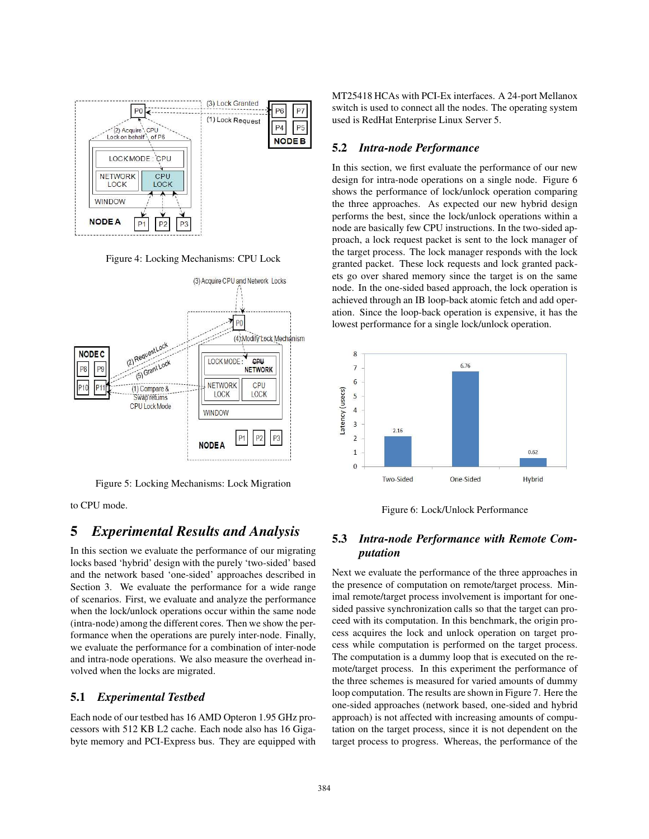

Figure 4: Locking Mechanisms: CPU Lock



Figure 5: Locking Mechanisms: Lock Migration

to CPU mode.

## **5** *Experimental Results and Analysis*

In this section we evaluate the performance of our migrating locks based 'hybrid' design with the purely 'two-sided' based and the network based 'one-sided' approaches described in Section 3. We evaluate the performance for a wide range of scenarios. First, we evaluate and analyze the performance when the lock/unlock operations occur within the same node (intra-node) among the different cores. Then we show the performance when the operations are purely inter-node. Finally, we evaluate the performance for a combination of inter-node and intra-node operations. We also measure the overhead involved when the locks are migrated.

#### **5.1** *Experimental Testbed*

Each node of our testbed has 16 AMD Opteron 1.95 GHz processors with 512 KB L2 cache. Each node also has 16 Gigabyte memory and PCI-Express bus. They are equipped with MT25418 HCAs with PCI-Ex interfaces. A 24-port Mellanox switch is used to connect all the nodes. The operating system used is RedHat Enterprise Linux Server 5.

#### **5.2** *Intra-node Performance*

In this section, we first evaluate the performance of our new design for intra-node operations on a single node. Figure 6 shows the performance of lock/unlock operation comparing the three approaches. As expected our new hybrid design performs the best, since the lock/unlock operations within a node are basically few CPU instructions. In the two-sided approach, a lock request packet is sent to the lock manager of the target process. The lock manager responds with the lock granted packet. These lock requests and lock granted packets go over shared memory since the target is on the same node. In the one-sided based approach, the lock operation is achieved through an IB loop-back atomic fetch and add operation. Since the loop-back operation is expensive, it has the lowest performance for a single lock/unlock operation.



Figure 6: Lock/Unlock Performance

## **5.3** *Intra-node Performance with Remote Computation*

Next we evaluate the performance of the three approaches in the presence of computation on remote/target process. Minimal remote/target process involvement is important for onesided passive synchronization calls so that the target can proceed with its computation. In this benchmark, the origin process acquires the lock and unlock operation on target process while computation is performed on the target process. The computation is a dummy loop that is executed on the remote/target process. In this experiment the performance of the three schemes is measured for varied amounts of dummy loop computation. The results are shown in Figure 7. Here the one-sided approaches (network based, one-sided and hybrid approach) is not affected with increasing amounts of computation on the target process, since it is not dependent on the target process to progress. Whereas, the performance of the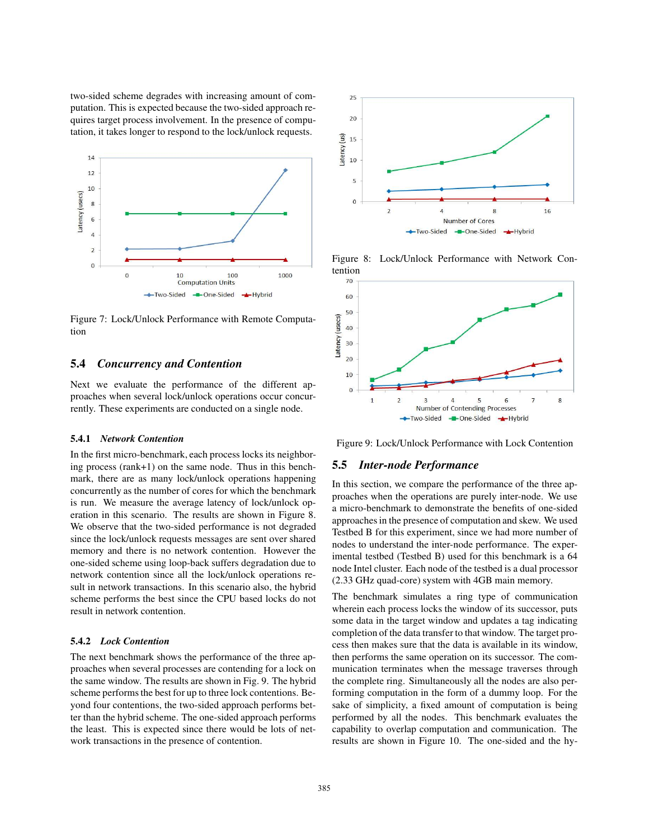two-sided scheme degrades with increasing amount of computation. This is expected because the two-sided approach requires target process involvement. In the presence of computation, it takes longer to respond to the lock/unlock requests.



Figure 7: Lock/Unlock Performance with Remote Computation

#### **5.4** *Concurrency and Contention*

Next we evaluate the performance of the different approaches when several lock/unlock operations occur concurrently. These experiments are conducted on a single node.

#### **5.4.1** *Network Contention*

In the first micro-benchmark, each process locks its neighboring process (rank+1) on the same node. Thus in this benchmark, there are as many lock/unlock operations happening concurrently as the number of cores for which the benchmark is run. We measure the average latency of lock/unlock operation in this scenario. The results are shown in Figure 8. We observe that the two-sided performance is not degraded since the lock/unlock requests messages are sent over shared memory and there is no network contention. However the one-sided scheme using loop-back suffers degradation due to network contention since all the lock/unlock operations result in network transactions. In this scenario also, the hybrid scheme performs the best since the CPU based locks do not result in network contention.

#### **5.4.2** *Lock Contention*

The next benchmark shows the performance of the three approaches when several processes are contending for a lock on the same window. The results are shown in Fig. 9. The hybrid scheme performs the best for up to three lock contentions. Beyond four contentions, the two-sided approach performs better than the hybrid scheme. The one-sided approach performs the least. This is expected since there would be lots of network transactions in the presence of contention.



Figure 8: Lock/Unlock Performance with Network Contention



Figure 9: Lock/Unlock Performance with Lock Contention

#### **5.5** *Inter-node Performance*

In this section, we compare the performance of the three approaches when the operations are purely inter-node. We use a micro-benchmark to demonstrate the benefits of one-sided approachesin the presence of computation and skew. We used Testbed B for this experiment, since we had more number of nodes to understand the inter-node performance. The experimental testbed (Testbed B) used for this benchmark is a 64 node Intel cluster. Each node of the testbed is a dual processor (2.33 GHz quad-core) system with 4GB main memory.

The benchmark simulates a ring type of communication wherein each process locks the window of its successor, puts some data in the target window and updates a tag indicating completion of the data transfer to that window. The target process then makes sure that the data is available in its window, then performs the same operation on its successor. The communication terminates when the message traverses through the complete ring. Simultaneously all the nodes are also performing computation in the form of a dummy loop. For the sake of simplicity, a fixed amount of computation is being performed by all the nodes. This benchmark evaluates the capability to overlap computation and communication. The results are shown in Figure 10. The one-sided and the hy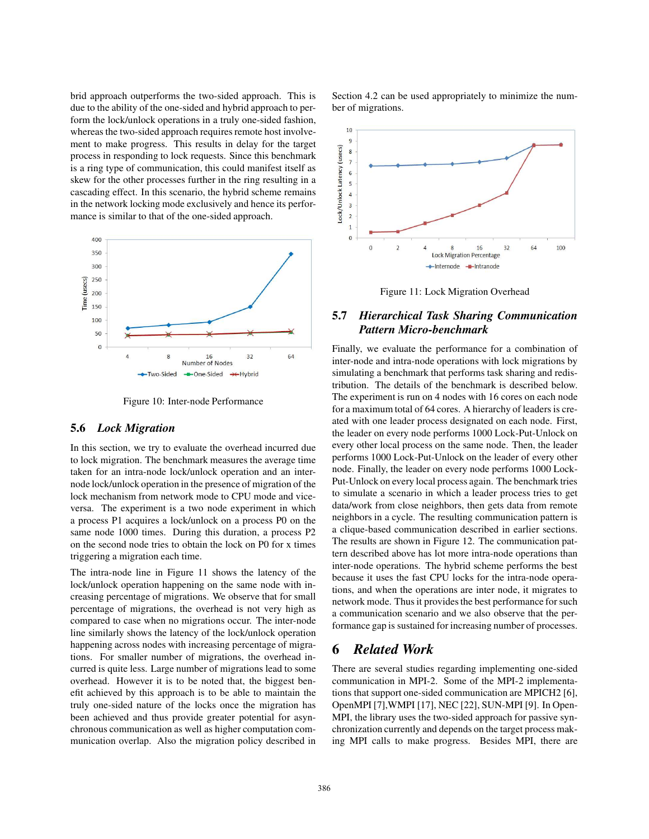brid approach outperforms the two-sided approach. This is due to the ability of the one-sided and hybrid approach to perform the lock/unlock operations in a truly one-sided fashion, whereas the two-sided approach requires remote host involvement to make progress. This results in delay for the target process in responding to lock requests. Since this benchmark is a ring type of communication, this could manifest itself as skew for the other processes further in the ring resulting in a cascading effect. In this scenario, the hybrid scheme remains in the network locking mode exclusively and hence its performance is similar to that of the one-sided approach.



Figure 10: Inter-node Performance

#### **5.6** *Lock Migration*

In this section, we try to evaluate the overhead incurred due to lock migration. The benchmark measures the average time taken for an intra-node lock/unlock operation and an internode lock/unlock operation in the presence of migration of the lock mechanism from network mode to CPU mode and viceversa. The experiment is a two node experiment in which a process P1 acquires a lock/unlock on a process P0 on the same node 1000 times. During this duration, a process P2 on the second node tries to obtain the lock on P0 for x times triggering a migration each time.

The intra-node line in Figure 11 shows the latency of the lock/unlock operation happening on the same node with increasing percentage of migrations. We observe that for small percentage of migrations, the overhead is not very high as compared to case when no migrations occur. The inter-node line similarly shows the latency of the lock/unlock operation happening across nodes with increasing percentage of migrations. For smaller number of migrations, the overhead incurred is quite less. Large number of migrations lead to some overhead. However it is to be noted that, the biggest benefit achieved by this approach is to be able to maintain the truly one-sided nature of the locks once the migration has been achieved and thus provide greater potential for asynchronous communication as well as higher computation communication overlap. Also the migration policy described in

Section 4.2 can be used appropriately to minimize the number of migrations.



Figure 11: Lock Migration Overhead

## **5.7** *Hierarchical Task Sharing Communication Pattern Micro-benchmark*

Finally, we evaluate the performance for a combination of inter-node and intra-node operations with lock migrations by simulating a benchmark that performs task sharing and redistribution. The details of the benchmark is described below. The experiment is run on 4 nodes with 16 cores on each node for a maximum total of 64 cores. A hierarchy of leaders is created with one leader process designated on each node. First, the leader on every node performs 1000 Lock-Put-Unlock on every other local process on the same node. Then, the leader performs 1000 Lock-Put-Unlock on the leader of every other node. Finally, the leader on every node performs 1000 Lock-Put-Unlock on every local process again. The benchmark tries to simulate a scenario in which a leader process tries to get data/work from close neighbors, then gets data from remote neighbors in a cycle. The resulting communication pattern is a clique-based communication described in earlier sections. The results are shown in Figure 12. The communication pattern described above has lot more intra-node operations than inter-node operations. The hybrid scheme performs the best because it uses the fast CPU locks for the intra-node operations, and when the operations are inter node, it migrates to network mode. Thus it provides the best performance for such a communication scenario and we also observe that the performance gap is sustained for increasing number of processes.

### **6** *Related Work*

There are several studies regarding implementing one-sided communication in MPI-2. Some of the MPI-2 implementations that support one-sided communication are MPICH2 [6], OpenMPI [7],WMPI [17], NEC [22], SUN-MPI [9]. In Open-MPI, the library uses the two-sided approach for passive synchronization currently and depends on the target process making MPI calls to make progress. Besides MPI, there are